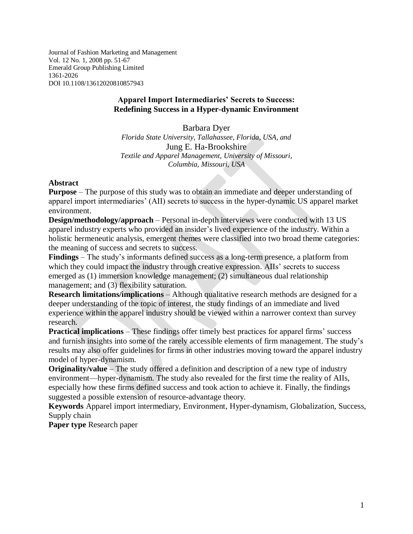Journal of Fashion Marketing and Management Vol. 12 No. 1, 2008 pp. 51-67 Emerald Group Publishing Limited 1361-2026 DOI 10.1108/13612020810857943

# **Apparel Import Intermediaries' Secrets to Success: Redefining Success in a Hyper-dynamic Environment**

Barbara Dyer *Florida State University, Tallahassee, Florida, USA, and* Jung E. Ha-Brookshire *Textile and Apparel Management, University of Missouri, Columbia, Missouri, USA*

## **Abstract**

**Purpose** – The purpose of this study was to obtain an immediate and deeper understanding of apparel import intermediaries' (AII) secrets to success in the hyper-dynamic US apparel market environment.

**Design/methodology/approach** – Personal in-depth interviews were conducted with 13 US apparel industry experts who provided an insider's lived experience of the industry. Within a holistic hermeneutic analysis, emergent themes were classified into two broad theme categories: the meaning of success and secrets to success.

**Findings** – The study's informants defined success as a long-term presence, a platform from which they could impact the industry through creative expression. AIIs' secrets to success emerged as (1) immersion knowledge management; (2) simultaneous dual relationship management; and (3) flexibility saturation.

**Research limitations/implications** – Although qualitative research methods are designed for a deeper understanding of the topic of interest, the study findings of an immediate and lived experience within the apparel industry should be viewed within a narrower context than survey research.

**Practical implications** – These findings offer timely best practices for apparel firms' success and furnish insights into some of the rarely accessible elements of firm management. The study's results may also offer guidelines for firms in other industries moving toward the apparel industry model of hyper-dynamism.

**Originality/value** – The study offered a definition and description of a new type of industry environment—hyper-dynamism. The study also revealed for the first time the reality of AIIs, especially how these firms defined success and took action to achieve it. Finally, the findings suggested a possible extension of resource-advantage theory.

**Keywords** Apparel import intermediary, Environment, Hyper-dynamism, Globalization, Success, Supply chain

**Paper type** Research paper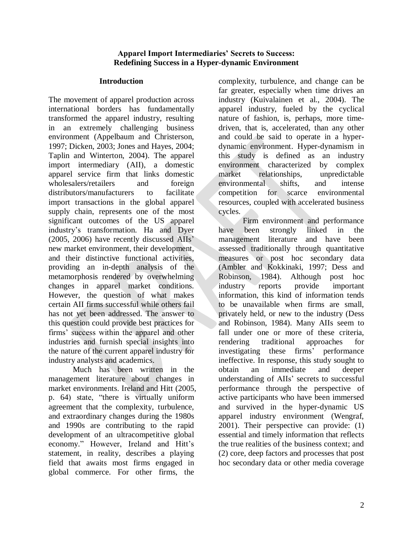#### **Apparel Import Intermediaries' Secrets to Success: Redefining Success in a Hyper-dynamic Environment**

## **Introduction**

The movement of apparel production across international borders has fundamentally transformed the apparel industry, resulting in an extremely challenging business environment (Appelbaum and Christerson, 1997; Dicken, 2003; Jones and Hayes, 2004; Taplin and Winterton, 2004). The apparel import intermediary (AII), a domestic apparel service firm that links domestic wholesalers/retailers and foreign distributors/manufacturers to facilitate import transactions in the global apparel supply chain, represents one of the most significant outcomes of the US apparel industry's transformation. Ha and Dyer (2005, 2006) have recently discussed AIIs' new market environment, their development, and their distinctive functional activities, providing an in-depth analysis of the metamorphosis rendered by overwhelming changes in apparel market conditions. However, the question of what makes certain AII firms successful while others fail has not yet been addressed. The answer to this question could provide best practices for firms' success within the apparel and other industries and furnish special insights into the nature of the current apparel industry for industry analysts and academics.

Much has been written in the management literature about changes in market environments. Ireland and Hitt (2005, p. 64) state, "there is virtually uniform agreement that the complexity, turbulence, and extraordinary changes during the 1980s and 1990s are contributing to the rapid development of an ultracompetitive global economy." However, Ireland and Hitt's statement, in reality, describes a playing field that awaits most firms engaged in global commerce. For other firms, the

complexity, turbulence, and change can be far greater, especially when time drives an industry (Kuivalainen et al., 2004). The apparel industry, fueled by the cyclical nature of fashion, is, perhaps, more timedriven, that is, accelerated, than any other and could be said to operate in a hyperdynamic environment. Hyper-dynamism in this study is defined as an industry environment characterized by complex market relationships, unpredictable environmental shifts, and intense competition for scarce environmental resources, coupled with accelerated business cycles.

Firm environment and performance have been strongly linked in the management literature and have been assessed traditionally through quantitative measures or post hoc secondary data (Ambler and Kokkinaki, 1997; Dess and Robinson, 1984). Although post hoc industry reports provide important information, this kind of information tends to be unavailable when firms are small, privately held, or new to the industry (Dess and Robinson, 1984). Many AIIs seem to fall under one or more of these criteria, rendering traditional approaches for investigating these firms' performance ineffective. In response, this study sought to obtain an immediate and deeper understanding of AIIs' secrets to successful performance through the perspective of active participants who have been immersed and survived in the hyper-dynamic US apparel industry environment (Wengraf, 2001). Their perspective can provide: (1) essential and timely information that reflects the true realities of the business context; and (2) core, deep factors and processes that post hoc secondary data or other media coverage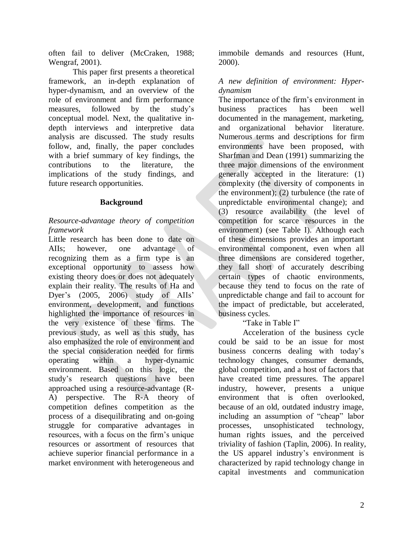often fail to deliver (McCraken, 1988; Wengraf, 2001).

This paper first presents a theoretical framework, an in-depth explanation of hyper-dynamism, and an overview of the role of environment and firm performance measures, followed by the study's conceptual model. Next, the qualitative indepth interviews and interpretive data analysis are discussed. The study results follow, and, finally, the paper concludes with a brief summary of key findings, the contributions to the literature, the implications of the study findings, and future research opportunities.

# **Background**

## *Resource-advantage theory of competition framework*

Little research has been done to date on AIIs; however, one advantage of recognizing them as a firm type is an exceptional opportunity to assess how existing theory does or does not adequately explain their reality. The results of Ha and Dyer's (2005, 2006) study of AIIs' environment, development, and functions highlighted the importance of resources in the very existence of these firms. The previous study, as well as this study, has also emphasized the role of environment and the special consideration needed for firms operating within a hyper-dynamic environment. Based on this logic, the study's research questions have been approached using a resource-advantage (R-A) perspective. The R-A theory of competition defines competition as the process of a disequilibrating and on-going struggle for comparative advantages in resources, with a focus on the firm's unique resources or assortment of resources that achieve superior financial performance in a market environment with heterogeneous and

immobile demands and resources (Hunt, 2000).

## *A new definition of environment: Hyperdynamism*

The importance of the firm's environment in business practices has been well documented in the management, marketing, and organizational behavior literature. Numerous terms and descriptions for firm environments have been proposed, with Sharfman and Dean (1991) summarizing the three major dimensions of the environment generally accepted in the literature: (1) complexity (the diversity of components in the environment); (2) turbulence (the rate of unpredictable environmental change); and (3) resource availability (the level of competition for scarce resources in the environment) (see Table I). Although each of these dimensions provides an important environmental component, even when all three dimensions are considered together, they fall short of accurately describing certain types of chaotic environments, because they tend to focus on the rate of unpredictable change and fail to account for the impact of predictable, but accelerated, business cycles.

"Take in Table I"

Acceleration of the business cycle could be said to be an issue for most business concerns dealing with today's technology changes, consumer demands, global competition, and a host of factors that have created time pressures. The apparel industry, however, presents a unique environment that is often overlooked, because of an old, outdated industry image, including an assumption of "cheap" labor processes, unsophisticated technology, human rights issues, and the perceived triviality of fashion (Taplin, 2006). In reality, the US apparel industry's environment is characterized by rapid technology change in capital investments and communication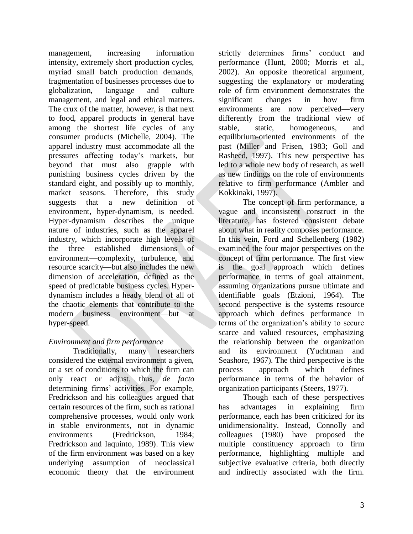management, increasing information intensity, extremely short production cycles, myriad small batch production demands, fragmentation of businesses processes due to globalization, language and culture management, and legal and ethical matters. The crux of the matter, however, is that next to food, apparel products in general have among the shortest life cycles of any consumer products (Michelle, 2004). The apparel industry must accommodate all the pressures affecting today's markets, but beyond that must also grapple with punishing business cycles driven by the standard eight, and possibly up to monthly, market seasons. Therefore, this study suggests that a new definition of environment, hyper-dynamism, is needed. Hyper-dynamism describes the unique nature of industries, such as the apparel industry, which incorporate high levels of the three established dimensions of environment—complexity, turbulence, and resource scarcity—but also includes the new dimension of acceleration, defined as the speed of predictable business cycles. Hyperdynamism includes a heady blend of all of the chaotic elements that contribute to the modern business environment—but at hyper-speed.

# *Environment and firm performance*

Traditionally, many researchers considered the external environment a given, or a set of conditions to which the firm can only react or adjust, thus, *de facto* determining firms' activities. For example, Fredrickson and his colleagues argued that certain resources of the firm, such as rational comprehensive processes, would only work in stable environments, not in dynamic environments (Fredrickson, 1984; Fredrickson and Iaquinto, 1989). This view of the firm environment was based on a key underlying assumption of neoclassical economic theory that the environment

strictly determines firms' conduct and performance (Hunt, 2000; Morris et al., 2002). An opposite theoretical argument, suggesting the explanatory or moderating role of firm environment demonstrates the significant changes in how firm environments are now perceived—very differently from the traditional view of stable, static, homogeneous, and equilibrium-oriented environments of the past (Miller and Frisen, 1983; Goll and Rasheed, 1997). This new perspective has led to a whole new body of research, as well as new findings on the role of environments relative to firm performance (Ambler and Kokkinaki, 1997).

The concept of firm performance, a vague and inconsistent construct in the literature, has fostered consistent debate about what in reality composes performance. In this vein, Ford and Schellenberg (1982) examined the four major perspectives on the concept of firm performance. The first view is the goal approach which defines performance in terms of goal attainment, assuming organizations pursue ultimate and identifiable goals (Etzioni, 1964). The second perspective is the systems resource approach which defines performance in terms of the organization's ability to secure scarce and valued resources, emphasizing the relationship between the organization and its environment (Yuchtman and Seashore, 1967). The third perspective is the process approach which defines performance in terms of the behavior of organization participants (Steers, 1977).

Though each of these perspectives has advantages in explaining firm performance, each has been criticized for its unidimensionality. Instead, Connolly and colleagues (1980) have proposed the multiple constituency approach to firm performance, highlighting multiple and subjective evaluative criteria, both directly and indirectly associated with the firm.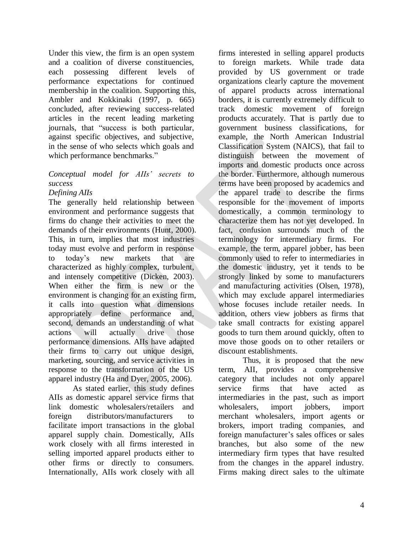Under this view, the firm is an open system and a coalition of diverse constituencies, each possessing different levels of performance expectations for continued membership in the coalition. Supporting this, Ambler and Kokkinaki (1997, p. 665) concluded, after reviewing success-related articles in the recent leading marketing journals, that "success is both particular, against specific objectives, and subjective, in the sense of who selects which goals and which performance benchmarks."

# *Conceptual model for AIIs' secrets to success*

# *Defining AIIs*

The generally held relationship between environment and performance suggests that firms do change their activities to meet the demands of their environments (Hunt, 2000). This, in turn, implies that most industries today must evolve and perform in response to today's new markets that are characterized as highly complex, turbulent, and intensely competitive (Dicken, 2003). When either the firm is new or the environment is changing for an existing firm, it calls into question what dimensions appropriately define performance and, second, demands an understanding of what actions will actually drive those performance dimensions. AIIs have adapted their firms to carry out unique design, marketing, sourcing, and service activities in response to the transformation of the US apparel industry (Ha and Dyer, 2005, 2006).

As stated earlier, this study defines AIIs as domestic apparel service firms that link domestic wholesalers/retailers and foreign distributors/manufacturers to facilitate import transactions in the global apparel supply chain. Domestically, AIIs work closely with all firms interested in selling imported apparel products either to other firms or directly to consumers. Internationally, AIIs work closely with all

firms interested in selling apparel products to foreign markets. While trade data provided by US government or trade organizations clearly capture the movement of apparel products across international borders, it is currently extremely difficult to track domestic movement of foreign products accurately. That is partly due to government business classifications, for example, the North American Industrial Classification System (NAICS), that fail to distinguish between the movement of imports and domestic products once across the border. Furthermore, although numerous terms have been proposed by academics and the apparel trade to describe the firms responsible for the movement of imports domestically, a common terminology to characterize them has not yet developed. In fact, confusion surrounds much of the terminology for intermediary firms. For example, the term, apparel jobber, has been commonly used to refer to intermediaries in the domestic industry, yet it tends to be strongly linked by some to manufacturers and manufacturing activities (Olsen, 1978), which may exclude apparel intermediaries whose focuses include retailer needs. In addition, others view jobbers as firms that take small contracts for existing apparel goods to turn them around quickly, often to move those goods on to other retailers or discount establishments.

Thus, it is proposed that the new term, AII, provides a comprehensive category that includes not only apparel service firms that have acted as intermediaries in the past, such as import wholesalers, import jobbers, import merchant wholesalers, import agents or brokers, import trading companies, and foreign manufacturer's sales offices or sales branches, but also some of the new intermediary firm types that have resulted from the changes in the apparel industry. Firms making direct sales to the ultimate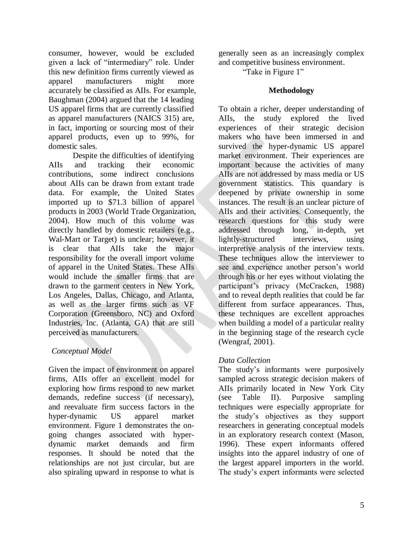consumer, however, would be excluded given a lack of "intermediary" role. Under this new definition firms currently viewed as apparel manufacturers might more accurately be classified as AIIs. For example, Baughman (2004) argued that the 14 leading US apparel firms that are currently classified as apparel manufacturers (NAICS 315) are, in fact, importing or sourcing most of their apparel products, even up to 99%, for domestic sales.

Despite the difficulties of identifying AIIs and tracking their economic contributions, some indirect conclusions about AIIs can be drawn from extant trade data. For example, the United States imported up to \$71.3 billion of apparel products in 2003 (World Trade Organization, 2004). How much of this volume was directly handled by domestic retailers (e.g., Wal-Mart or Target) is unclear; however, it is clear that AIIs take the major responsibility for the overall import volume of apparel in the United States. These AIIs would include the smaller firms that are drawn to the garment centers in New York, Los Angeles, Dallas, Chicago, and Atlanta, as well as the larger firms such as VF Corporation (Greensboro, NC) and Oxford Industries, Inc. (Atlanta, GA) that are still perceived as manufacturers.

# *Conceptual Model*

Given the impact of environment on apparel firms, AIIs offer an excellent model for exploring how firms respond to new market demands, redefine success (if necessary), and reevaluate firm success factors in the hyper-dynamic US apparel market environment. Figure 1 demonstrates the ongoing changes associated with hyperdynamic market demands and firm responses. It should be noted that the relationships are not just circular, but are also spiraling upward in response to what is

generally seen as an increasingly complex and competitive business environment.

"Take in Figure 1"

#### **Methodology**

To obtain a richer, deeper understanding of AIIs, the study explored the lived experiences of their strategic decision makers who have been immersed in and survived the hyper-dynamic US apparel market environment. Their experiences are important because the activities of many AIIs are not addressed by mass media or US government statistics. This quandary is deepened by private ownership in some instances. The result is an unclear picture of AIIs and their activities. Consequently, the research questions for this study were addressed through long, in-depth, yet lightly-structured interviews, using interpretive analysis of the interview texts. These techniques allow the interviewer to see and experience another person's world through his or her eyes without violating the participant's privacy (McCracken, 1988) and to reveal depth realities that could be far different from surface appearances. Thus, these techniques are excellent approaches when building a model of a particular reality in the beginning stage of the research cycle (Wengraf, 2001).

# *Data Collection*

The study's informants were purposively sampled across strategic decision makers of AIIs primarily located in New York City (see Table II). Purposive sampling techniques were especially appropriate for the study's objectives as they support researchers in generating conceptual models in an exploratory research context (Mason, 1996). These expert informants offered insights into the apparel industry of one of the largest apparel importers in the world. The study's expert informants were selected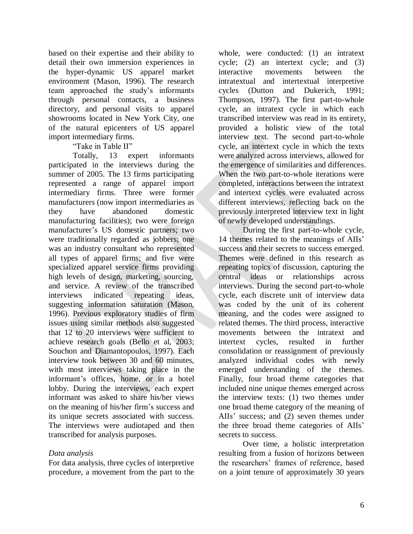based on their expertise and their ability to detail their own immersion experiences in the hyper-dynamic US apparel market environment (Mason, 1996). The research team approached the study's informants through personal contacts, a business directory, and personal visits to apparel showrooms located in New York City, one of the natural epicenters of US apparel import intermediary firms.

"Take in Table II"

Totally, 13 expert informants participated in the interviews during the summer of 2005. The 13 firms participating represented a range of apparel import intermediary firms. Three were former manufacturers (now import intermediaries as they have abandoned domestic manufacturing facilities); two were foreign manufacturer's US domestic partners; two were traditionally regarded as jobbers; one was an industry consultant who represented all types of apparel firms; and five were specialized apparel service firms providing high levels of design, marketing, sourcing, and service. A review of the transcribed interviews indicated repeating ideas, suggesting information saturation (Mason, 1996). Previous exploratory studies of firm issues using similar methods also suggested that 12 to 20 interviews were sufficient to achieve research goals (Bello et al, 2003; Souchon and Diamantopoulos, 1997). Each interview took between 30 and 60 minutes, with most interviews taking place in the informant's offices, home, or in a hotel lobby. During the interviews, each expert informant was asked to share his/her views on the meaning of his/her firm's success and its unique secrets associated with success. The interviews were audiotaped and then transcribed for analysis purposes.

# *Data analysis*

For data analysis, three cycles of interpretive procedure, a movement from the part to the whole, were conducted: (1) an intratext cycle; (2) an intertext cycle; and (3) interactive movements between the intratextual and intertextual interpretive cycles (Dutton and Dukerich, 1991; Thompson, 1997). The first part-to-whole cycle, an intratext cycle in which each transcribed interview was read in its entirety, provided a holistic view of the total interview text. The second part-to-whole cycle, an intertext cycle in which the texts were analyzed across interviews, allowed for the emergence of similarities and differences. When the two part-to-whole iterations were completed, interactions between the intratext and intertext cycles were evaluated across different interviews, reflecting back on the previously interpreted interview text in light of newly developed understandings.

During the first part-to-whole cycle, 14 themes related to the meanings of AIIs' success and their secrets to success emerged. Themes were defined in this research as repeating topics of discussion, capturing the central ideas or relationships across interviews. During the second part-to-whole cycle, each discrete unit of interview data was coded by the unit of its coherent meaning, and the codes were assigned to related themes. The third process, interactive movements between the intratext and intertext cycles, resulted in further consolidation or reassignment of previously analyzed individual codes with newly emerged understanding of the themes. Finally, four broad theme categories that included nine unique themes emerged across the interview texts: (1) two themes under one broad theme category of the meaning of AIIs' success; and (2) seven themes under the three broad theme categories of AIIs' secrets to success.

Over time, a holistic interpretation resulting from a fusion of horizons between the researchers' frames of reference, based on a joint tenure of approximately 30 years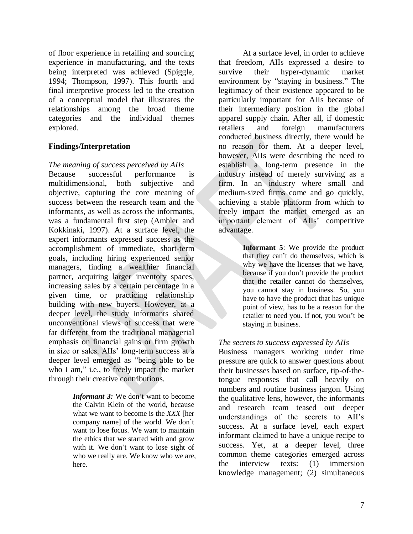of floor experience in retailing and sourcing experience in manufacturing, and the texts being interpreted was achieved (Spiggle, 1994; Thompson, 1997). This fourth and final interpretive process led to the creation of a conceptual model that illustrates the relationships among the broad theme categories and the individual themes explored.

# **Findings/Interpretation**

## *The meaning of success perceived by AIIs*

Because successful performance is multidimensional, both subjective and objective, capturing the core meaning of success between the research team and the informants, as well as across the informants, was a fundamental first step (Ambler and Kokkinaki, 1997). At a surface level, the expert informants expressed success as the accomplishment of immediate, short-term goals, including hiring experienced senior managers, finding a wealthier financial partner, acquiring larger inventory spaces, increasing sales by a certain percentage in a given time, or practicing relationship building with new buyers. However, at a deeper level, the study informants shared unconventional views of success that were far different from the traditional managerial emphasis on financial gains or firm growth in size or sales. AIIs' long-term success at a deeper level emerged as "being able to be who I am," i.e., to freely impact the market through their creative contributions.

> *Informant 3:* We don't want to become the Calvin Klein of the world, because what we want to become is the *XXX* [her company name] of the world. We don't want to lose focus. We want to maintain the ethics that we started with and grow with it. We don't want to lose sight of who we really are. We know who we are, here.

At a surface level, in order to achieve that freedom, AIIs expressed a desire to survive their hyper-dynamic market environment by "staying in business." The legitimacy of their existence appeared to be particularly important for AIIs because of their intermediary position in the global apparel supply chain. After all, if domestic retailers and foreign manufacturers conducted business directly, there would be no reason for them. At a deeper level, however, AIIs were describing the need to establish a long-term presence in the industry instead of merely surviving as a firm. In an industry where small and medium-sized firms come and go quickly, achieving a stable platform from which to freely impact the market emerged as an important element of AIIs' competitive advantage.

> **Informant 5**: We provide the product that they can't do themselves, which is why we have the licenses that we have, because if you don't provide the product that the retailer cannot do themselves, you cannot stay in business. So, you have to have the product that has unique point of view, has to be a reason for the retailer to need you. If not, you won't be staying in business.

#### *The secrets to success expressed by AIIs*

Business managers working under time pressure are quick to answer questions about their businesses based on surface, tip-of-thetongue responses that call heavily on numbers and routine business jargon. Using the qualitative lens, however, the informants and research team teased out deeper understandings of the secrets to AII's success. At a surface level, each expert informant claimed to have a unique recipe to success. Yet, at a deeper level, three common theme categories emerged across the interview texts: (1) immersion knowledge management; (2) simultaneous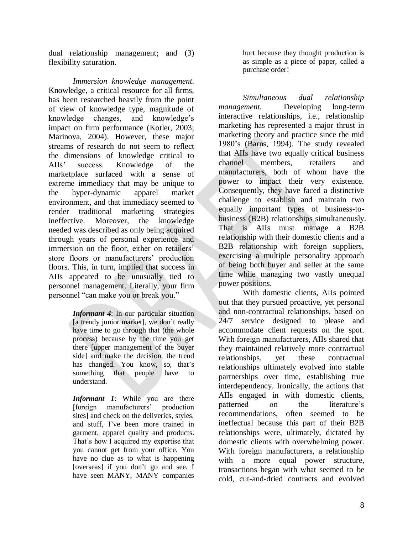dual relationship management; and (3) flexibility saturation.

*Immersion knowledge management*. Knowledge, a critical resource for all firms, has been researched heavily from the point of view of knowledge type, magnitude of knowledge changes, and knowledge's impact on firm performance (Kotler, 2003; Marinova, 2004). However, these major streams of research do not seem to reflect the dimensions of knowledge critical to AIIs' success. Knowledge of the marketplace surfaced with a sense of extreme immediacy that may be unique to the hyper-dynamic apparel market environment, and that immediacy seemed to render traditional marketing strategies ineffective. Moreover, the knowledge needed was described as only being acquired through years of personal experience and immersion on the floor, either on retailers' store floors or manufacturers' production floors. This, in turn, implied that success in AIIs appeared to be unusually tied to personnel management. Literally, your firm personnel "can make you or break you."

> *Informant 4*: In our particular situation [a trendy junior market], we don't really have time to go through that (the whole process) because by the time you get there [upper management of the buyer side] and make the decision, the trend has changed. You know, so, that's something that people have to understand.

> *Informant 1*: While you are there [foreign manufacturers' production sites] and check on the deliveries, styles, and stuff, I've been more trained in garment, apparel quality and products. That's how I acquired my expertise that you cannot get from your office. You have no clue as to what is happening [overseas] if you don't go and see. I have seen MANY, MANY companies

hurt because they thought production is as simple as a piece of paper, called a purchase order!

*Simultaneous dual relationship management.* Developing long-term interactive relationships, i.e., relationship marketing has represented a major thrust in marketing theory and practice since the mid 1980's (Barns, 1994). The study revealed that AIIs have two equally critical business channel members, retailers and manufacturers, both of whom have the power to impact their very existence. Consequently, they have faced a distinctive challenge to establish and maintain two equally important types of business-tobusiness (B2B) relationships simultaneously. That is AIIs must manage a B2B relationship with their domestic clients and a B2B relationship with foreign suppliers, exercising a multiple personality approach of being both buyer and seller at the same time while managing two vastly unequal power positions.

With domestic clients, AIIs pointed out that they pursued proactive, yet personal and non-contractual relationships, based on 24/7 service designed to please and accommodate client requests on the spot. With foreign manufacturers, AIIs shared that they maintained relatively more contractual relationships, yet these contractual relationships ultimately evolved into stable partnerships over time, establishing true interdependency. Ironically, the actions that AIIs engaged in with domestic clients, patterned on the literature's recommendations, often seemed to be ineffectual because this part of their B2B relationships were, ultimately, dictated by domestic clients with overwhelming power. With foreign manufacturers, a relationship with a more equal power structure, transactions began with what seemed to be cold, cut-and-dried contracts and evolved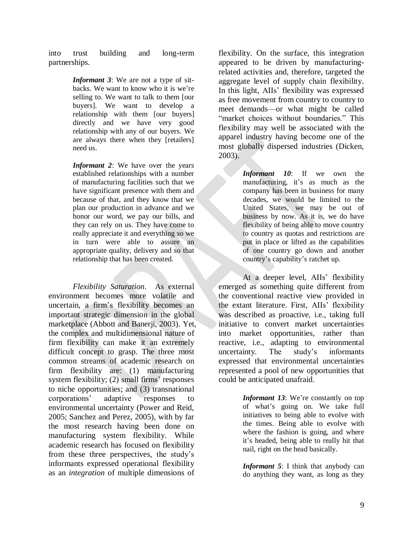into trust building and long-term partnerships.

> *Informant 3*: We are not a type of sitbacks. We want to know who it is we're selling to. We want to talk to them [our buyers]. We want to develop a relationship with them [our buyers] directly and we have very good relationship with any of our buyers. We are always there when they [retailers] need us.

> *Informant 2*: We have over the years established relationships with a number of manufacturing facilities such that we have significant presence with them and because of that, and they know that we plan our production in advance and we honor our word, we pay our bills, and they can rely on us. They have come to really appreciate it and everything so we in turn were able to assure an appropriate quality, delivery and so that relationship that has been created.

*Flexibility Saturation*. As external environment becomes more volatile and uncertain, a firm's flexibility becomes an important strategic dimension in the global marketplace (Abbott and Banerji, 2003). Yet, the complex and multidimensional nature of firm flexibility can make it an extremely difficult concept to grasp. The three most common streams of academic research on firm flexibility are: (1) manufacturing system flexibility; (2) small firms' responses to niche opportunities; and (3) transnational corporations' adaptive responses to environmental uncertainty (Power and Reid, 2005; Sanchez and Perez, 2005), with by far the most research having been done on manufacturing system flexibility. While academic research has focused on flexibility from these three perspectives, the study's informants expressed operational flexibility as an *integration* of multiple dimensions of

flexibility. On the surface, this integration appeared to be driven by manufacturingrelated activities and, therefore, targeted the aggregate level of supply chain flexibility. In this light, AIIs' flexibility was expressed as free movement from country to country to meet demands—or what might be called "market choices without boundaries." This flexibility may well be associated with the apparel industry having become one of the most globally dispersed industries (Dicken, 2003).

> *Informant 10*: If we own the manufacturing, it's as much as the company has been in business for many decades, we would be limited to the United States, we may be out of business by now. As it is, we do have flexibility of being able to move country to country as quotas and restrictions are put in place or lifted as the capabilities of one country go down and another country's capability's ratchet up.

At a deeper level, AIIs' flexibility emerged as something quite different from the conventional reactive view provided in the extant literature. First, AIIs' flexibility was described as proactive, i.e., taking full initiative to convert market uncertainties into market opportunities, rather than reactive, i.e., adapting to environmental uncertainty. The study's informants expressed that environmental uncertainties represented a pool of new opportunities that could be anticipated unafraid.

> *Informant 13*: We're constantly on top of what's going on. We take full initiatives to being able to evolve with the times. Being able to evolve with where the fashion is going, and where it's headed, being able to really hit that nail, right on the head basically.

> *Informant 5*: I think that anybody can do anything they want, as long as they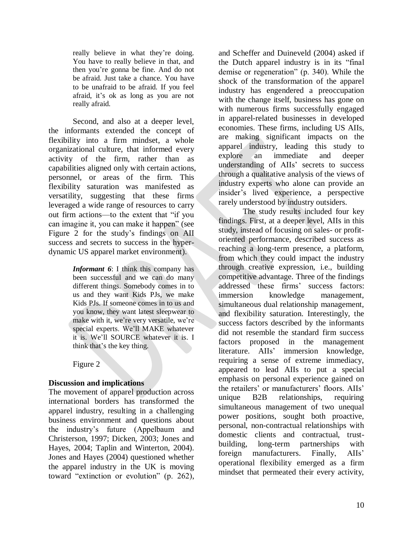really believe in what they're doing. You have to really believe in that, and then you're gonna be fine. And do not be afraid. Just take a chance. You have to be unafraid to be afraid. If you feel afraid, it's ok as long as you are not really afraid.

Second, and also at a deeper level, the informants extended the concept of flexibility into a firm mindset, a whole organizational culture, that informed every activity of the firm, rather than as capabilities aligned only with certain actions, personnel, or areas of the firm. This flexibility saturation was manifested as versatility, suggesting that these firms leveraged a wide range of resources to carry out firm actions—to the extent that "if you can imagine it, you can make it happen" (see Figure 2 for the study's findings on AII success and secrets to success in the hyperdynamic US apparel market environment).

> *Informant 6*: I think this company has been successful and we can do many different things. Somebody comes in to us and they want Kids PJs, we make Kids PJs. If someone comes in to us and you know, they want latest sleepwear to make with it, we're very versatile, we're special experts. We'll MAKE whatever it is. We'll SOURCE whatever it is. I think that's the key thing.

Figure 2

# **Discussion and implications**

The movement of apparel production across international borders has transformed the apparel industry, resulting in a challenging business environment and questions about the industry's future (Appelbaum and Christerson, 1997; Dicken, 2003; Jones and Hayes, 2004; Taplin and Winterton, 2004). Jones and Hayes (2004) questioned whether the apparel industry in the UK is moving toward "extinction or evolution" (p. 262),

and Scheffer and Duineveld (2004) asked if the Dutch apparel industry is in its "final" demise or regeneration" (p. 340). While the shock of the transformation of the apparel industry has engendered a preoccupation with the change itself, business has gone on with numerous firms successfully engaged in apparel-related businesses in developed economies. These firms, including US AIIs, are making significant impacts on the apparel industry, leading this study to explore an immediate and deeper understanding of AIIs' secrets to success through a qualitative analysis of the views of industry experts who alone can provide an insider's lived experience, a perspective rarely understood by industry outsiders.

The study results included four key findings. First, at a deeper level, AIIs in this study, instead of focusing on sales- or profitoriented performance, described success as reaching a long-term presence, a platform, from which they could impact the industry through creative expression, i.e., building competitive advantage. Three of the findings addressed these firms' success factors: immersion knowledge management, simultaneous dual relationship management, and flexibility saturation. Interestingly, the success factors described by the informants did not resemble the standard firm success factors proposed in the management literature. AIIs' immersion knowledge, requiring a sense of extreme immediacy, appeared to lead AIIs to put a special emphasis on personal experience gained on the retailers' or manufacturers' floors. AIIs' unique B2B relationships, requiring simultaneous management of two unequal power positions, sought both proactive, personal, non-contractual relationships with domestic clients and contractual, trustbuilding, long-term partnerships with foreign manufacturers. Finally, AIIs' operational flexibility emerged as a firm mindset that permeated their every activity,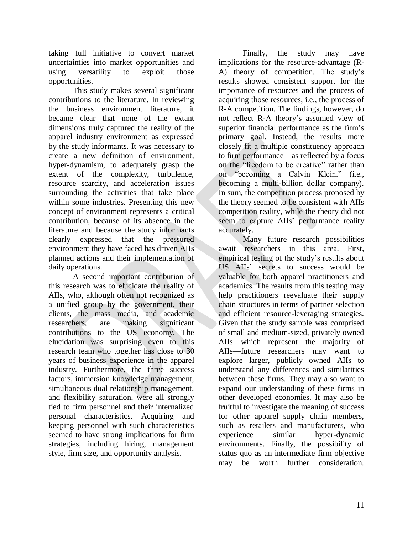taking full initiative to convert market uncertainties into market opportunities and using versatility to exploit those opportunities.

This study makes several significant contributions to the literature. In reviewing the business environment literature, it became clear that none of the extant dimensions truly captured the reality of the apparel industry environment as expressed by the study informants. It was necessary to create a new definition of environment, hyper-dynamism, to adequately grasp the extent of the complexity, turbulence, resource scarcity, and acceleration issues surrounding the activities that take place within some industries. Presenting this new concept of environment represents a critical contribution, because of its absence in the literature and because the study informants clearly expressed that the pressured environment they have faced has driven AIIs planned actions and their implementation of daily operations.

A second important contribution of this research was to elucidate the reality of AIIs, who, although often not recognized as a unified group by the government, their clients, the mass media, and academic researchers, are making significant contributions to the US economy. The elucidation was surprising even to this research team who together has close to 30 years of business experience in the apparel industry. Furthermore, the three success factors, immersion knowledge management, simultaneous dual relationship management, and flexibility saturation, were all strongly tied to firm personnel and their internalized personal characteristics. Acquiring and keeping personnel with such characteristics seemed to have strong implications for firm strategies, including hiring, management style, firm size, and opportunity analysis.

Finally, the study may have implications for the resource-advantage (R-A) theory of competition. The study's results showed consistent support for the importance of resources and the process of acquiring those resources, i.e., the process of R-A competition. The findings, however, do not reflect R-A theory's assumed view of superior financial performance as the firm's primary goal. Instead, the results more closely fit a multiple constituency approach to firm performance—as reflected by a focus on the "freedom to be creative" rather than on "becoming a Calvin Klein." (i.e., becoming a multi-billion dollar company). In sum, the competition process proposed by the theory seemed to be consistent with AIIs competition reality, while the theory did not seem to capture AIIs' performance reality accurately.

Many future research possibilities await researchers in this area. First, empirical testing of the study's results about US AIIs' secrets to success would be valuable for both apparel practitioners and academics. The results from this testing may help practitioners reevaluate their supply chain structures in terms of partner selection and efficient resource-leveraging strategies. Given that the study sample was comprised of small and medium-sized, privately owned AIIs—which represent the majority of AIIs—future researchers may want to explore larger, publicly owned AIIs to understand any differences and similarities between these firms. They may also want to expand our understanding of these firms in other developed economies. It may also be fruitful to investigate the meaning of success for other apparel supply chain members, such as retailers and manufacturers, who experience similar hyper-dynamic environments. Finally, the possibility of status quo as an intermediate firm objective may be worth further consideration.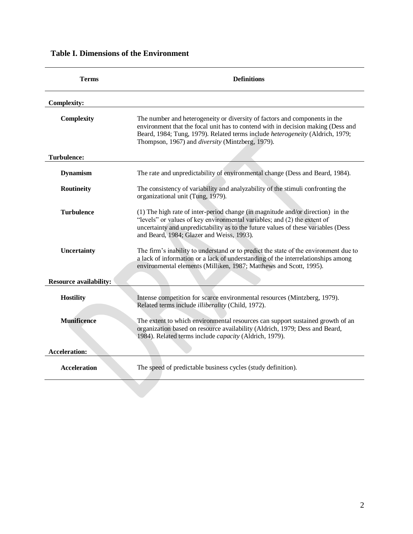| <b>Terms</b>                  | <b>Definitions</b>                                                                                                                                                                                                                                                                                         |  |  |  |
|-------------------------------|------------------------------------------------------------------------------------------------------------------------------------------------------------------------------------------------------------------------------------------------------------------------------------------------------------|--|--|--|
| <b>Complexity:</b>            |                                                                                                                                                                                                                                                                                                            |  |  |  |
| Complexity                    | The number and heterogeneity or diversity of factors and components in the<br>environment that the focal unit has to contend with in decision making (Dess and<br>Beard, 1984; Tung, 1979). Related terms include heterogeneity (Aldrich, 1979;<br>Thompson, 1967) and <i>diversity</i> (Mintzberg, 1979). |  |  |  |
| <b>Turbulence:</b>            |                                                                                                                                                                                                                                                                                                            |  |  |  |
| <b>Dynamism</b>               | The rate and unpredictability of environmental change (Dess and Beard, 1984).                                                                                                                                                                                                                              |  |  |  |
| <b>Routineity</b>             | The consistency of variability and analyzability of the stimuli confronting the<br>organizational unit (Tung, 1979).                                                                                                                                                                                       |  |  |  |
| <b>Turbulence</b>             | (1) The high rate of inter-period change (in magnitude and/or direction) in the<br>"levels" or values of key environmental variables; and (2) the extent of<br>uncertainty and unpredictability as to the future values of these variables (Dess<br>and Beard, 1984; Glazer and Weiss, 1993).              |  |  |  |
| Uncertainty                   | The firm's inability to understand or to predict the state of the environment due to<br>a lack of information or a lack of understanding of the interrelationships among<br>environmental elements (Milliken, 1987; Matthews and Scott, 1995).                                                             |  |  |  |
| <b>Resource availability:</b> |                                                                                                                                                                                                                                                                                                            |  |  |  |
| <b>Hostility</b>              | Intense competition for scarce environmental resources (Mintzberg, 1979).<br>Related terms include <i>illiberality</i> (Child, 1972).                                                                                                                                                                      |  |  |  |
| <b>Munificence</b>            | The extent to which environmental resources can support sustained growth of an<br>organization based on resource availability (Aldrich, 1979; Dess and Beard,<br>1984). Related terms include <i>capacity</i> (Aldrich, 1979).                                                                             |  |  |  |
| <b>Acceleration:</b>          |                                                                                                                                                                                                                                                                                                            |  |  |  |
| <b>Acceleration</b>           | The speed of predictable business cycles (study definition).                                                                                                                                                                                                                                               |  |  |  |

# **Table I. Dimensions of the Environment**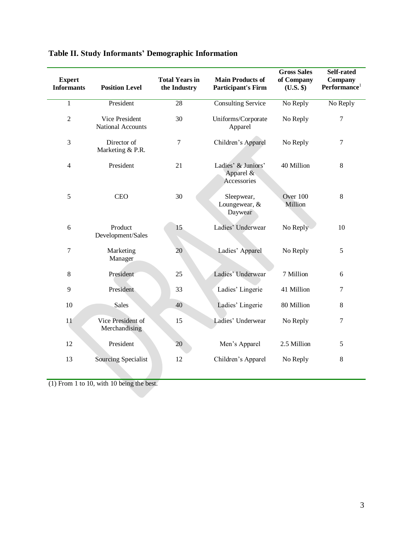| <b>Expert</b><br><b>Informants</b> | <b>Position Level</b>               | <b>Total Years in</b><br>the Industry | <b>Main Products of</b><br><b>Participant's Firm</b> | <b>Gross Sales</b><br>of Company<br>(U.S. \$) | Self-rated<br>Company<br>Performance <sup>1</sup> |
|------------------------------------|-------------------------------------|---------------------------------------|------------------------------------------------------|-----------------------------------------------|---------------------------------------------------|
| $\mathbf{1}$                       | President                           | 28                                    | <b>Consulting Service</b>                            | No Reply                                      | No Reply                                          |
| $\overline{2}$                     | Vice President<br>National Accounts | 30                                    | Uniforms/Corporate<br>Apparel                        | No Reply                                      | $\overline{7}$                                    |
| 3                                  | Director of<br>Marketing & P.R.     | $\tau$                                | Children's Apparel                                   | No Reply                                      | $\boldsymbol{7}$                                  |
| 4                                  | President                           | 21                                    | Ladies' & Juniors'<br>Apparel &<br>Accessories       | 40 Million                                    | $8\,$                                             |
| 5                                  | <b>CEO</b>                          | 30                                    | Sleepwear,<br>Loungewear, &<br>Daywear               | Over 100<br>Million                           | 8                                                 |
| 6                                  | Product<br>Development/Sales        | 15                                    | Ladies' Underwear                                    | No Reply                                      | 10                                                |
| 7                                  | Marketing<br>Manager                | 20                                    | Ladies' Apparel                                      | No Reply                                      | 5                                                 |
| 8                                  | President                           | 25                                    | Ladies' Underwear                                    | 7 Million                                     | 6                                                 |
| 9                                  | President                           | 33                                    | Ladies' Lingerie                                     | 41 Million                                    | $\overline{7}$                                    |
| 10                                 | Sales                               | 40                                    | Ladies' Lingerie                                     | 80 Million                                    | 8                                                 |
| 11                                 | Vice President of<br>Merchandising  | 15                                    | Ladies' Underwear                                    | No Reply                                      | $\tau$                                            |
| 12                                 | President                           | 20                                    | Men's Apparel                                        | 2.5 Million                                   | 5                                                 |
| 13                                 | Sourcing Specialist                 | 12                                    | Children's Apparel                                   | No Reply                                      | 8                                                 |

# **Table II. Study Informants' Demographic Information**

(1) From 1 to 10, with 10 being the best.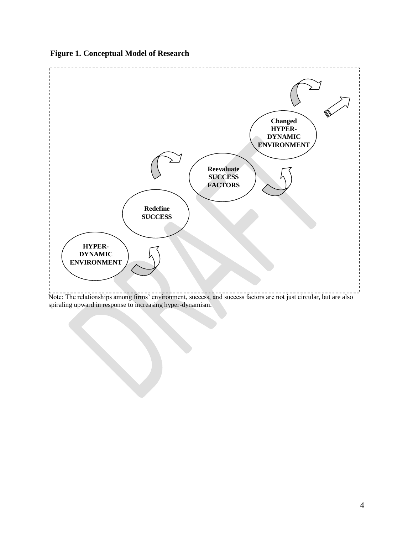**Figure 1. Conceptual Model of Research**



spiraling upward in response to increasing hyper-dynamism.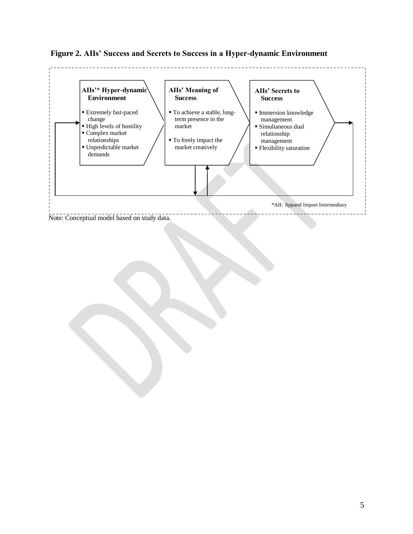

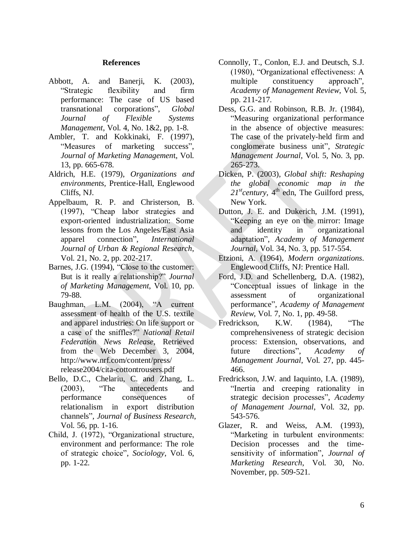#### **References**

- Abbott, A. and Banerji, K. (2003), ―Strategic flexibility and firm performance: The case of US based transnational corporations‖, *Global Journal of Flexible Systems Management*, Vol. 4, No. 1&2, pp. 1-8.
- Ambler, T. and Kokkinaki, F. (1997), "Measures of marketing success", *Journal of Marketing Managemen*t, Vol. 13, pp. 665-678.
- Aldrich, H.E. (1979), *Organizations and environments,* Prentice-Hall, Englewood Cliffs, NJ.
- Appelbaum, R. P. and Christerson, B. (1997), "Cheap labor strategies and export-oriented industrialization: Some lessons from the Los Angeles/East Asia apparel connection‖, *International Journal of Urban & Regional Research*, Vol. 21, No. 2, pp. 202-217.
- Barnes, J.G. (1994), "Close to the customer: But is it really a relationship?" *Journal of Marketing Management*, Vol. 10, pp. 79-88.
- Baughman, L.M. (2004), "A current assessment of health of the U.S. textile and apparel industries: On life support or a case of the sniffles?‖ *National Retail Federation News Release*, Retrieved from the Web December 3, 2004, [http://www.nrf.com/content/press/](http://www.nrf.com/content/press/%20release2004/cita-cottontrousers.pdf)  [release2004/cita-cottontrousers.pdf](http://www.nrf.com/content/press/%20release2004/cita-cottontrousers.pdf)
- Bello, D.C., Chelariu, C. and Zhang, L. (2003), "The antecedents and performance consequences of relationalism in export distribution channels‖, *Journal of Business Research*, Vol. 56, pp. 1-16.
- Child, J. (1972), "Organizational structure, environment and performance: The role of strategic choice", *Sociology*, Vol. 6, pp. 1-22.
- Connolly, T., Conlon, E.J. and Deutsch, S.J.  $(1980)$ , "Organizational effectiveness: A multiple constituency approach", *Academy of Management Review*, Vol. 5, pp. 211-217.
- Dess, G.G. and Robinson, R.B. Jr. (1984), "Measuring organizational performance in the absence of objective measures: The case of the privately-held firm and conglomerate business unit", *Strategic Management Journal*, Vol. 5, No. 3, pp. 265-273.
- Dicken, P. (2003), *Global shift: Reshaping the global economic map in the*   $21^{st}$ *century*,  $4^{th}$  edn, The Guilford press, New York.
- Dutton, J. E. and Dukerich, J.M. (1991), "Keeping an eye on the mirror: Image and identity in organizational adaptation‖, *Academy of Management Journal*, Vol. 34, No. 3, pp. 517-554.
- Etzioni, A. (1964), *Modern organizations*. Englewood Cliffs, NJ: Prentice Hall.
- Ford, J.D. and Schellenberg, D.A. (1982), ―Conceptual issues of linkage in the assessment of organizational performance", *Academy of Management Review*, Vol. 7, No. 1, pp. 49-58.
- Fredrickson, K.W. (1984), "The comprehensiveness of strategic decision process: Extension, observations, and future directions", *Academy of Management Journal*, Vol. 27, pp. 445- 466.
- Fredrickson, J.W. and Iaquinto, I.A. (1989), "Inertia and creeping rationality in strategic decision processes", *Academy of Management Journal*, Vol. 32, pp. 543-576.
- Glazer, R. and Weiss, A.M. (1993), "Marketing in turbulent environments: Decision processes and the timesensitivity of information", *Journal of Marketing Research*, Vol. 30, No. November, pp. 509-521.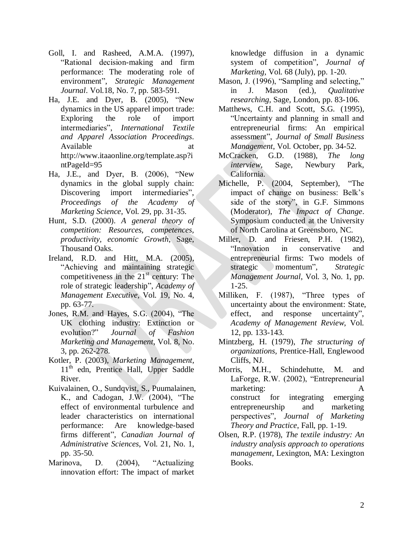- Goll, I. and Rasheed, A.M.A. (1997), ―Rational decision-making and firm performance: The moderating role of environment", *Strategic Management Journal*. Vol.18, No. 7, pp. 583-591.
- Ha, J.E. and Dyer, B.  $(2005)$ , "New dynamics in the US apparel import trade: Exploring the role of import intermediaries‖, *International Textile and Apparel Association Proceedings*. Available at a state at a state at a state at a state at a state at a state at a state at a state at a state at a state at a state at a state at a state at a state at a state at a state at a state at a state at a state at http://www.itaaonline.org/template.asp?i ntPageId=95
- Ha, J.E., and Dyer, B. (2006), "New dynamics in the global supply chain: Discovering import intermediaries", *Proceedings of the Academy of Marketing Science*, Vol. 29, pp. 31-35.
- Hunt, S.D. (2000). *A general theory of competition: Resources, competences, productivity, economic Growth*, Sage, Thousand Oaks.
- Ireland, R.D. and Hitt, M.A. (2005), "Achieving and maintaining strategic competitiveness in the  $21<sup>st</sup>$  century: The role of strategic leadership", *Academy of Management Executive*, Vol. 19, No. 4, pp. 63-77.
- Jones, R.M. and Hayes, S.G. (2004), "The UK clothing industry: Extinction or evolution?‖ *Journal of Fashion Marketing and Management*, Vol. 8, No. 3, pp. 262-278.
- Kotler, P. (2003), *Marketing Management,*  11<sup>th</sup> edn, Prentice Hall, Upper Saddle River.
- Kuivalainen, O., Sundqvist, S., Puumalainen, K., and Cadogan, J.W.  $(2004)$ , "The effect of environmental turbulence and leader characteristics on international performance: Are knowledge-based firms different", *Canadian Journal of Administrative Sciences*, Vol. 21, No. 1, pp. 35-50.
- Marinova, D. (2004), "Actualizing innovation effort: The impact of market

knowledge diffusion in a dynamic system of competition", *Journal of Marketing*, Vol. 68 (July), pp. 1-20.

- Mason, J. (1996), "Sampling and selecting," in J. Mason (ed.), *Qualitative researching,* Sage, London, pp. 83-106.
- Matthews, C.H. and Scott, S.G. (1995), ―Uncertainty and planning in small and entrepreneurial firms: An empirical assessment‖, *Journal of Small Business Management*, Vol. October, pp. 34-52.
- McCracken, G.D. (1988), *The long interview,* Sage, Newbury Park, California.
- Michelle, P. (2004, September), "The impact of change on business: Belk's side of the story", in G.F. Simmons (Moderator), *The Impact of Change*. Symposium conducted at the University of North Carolina at Greensboro, NC.
- Miller, D. and Friesen, P.H. (1982), "Innovation in conservative and entrepreneurial firms: Two models of strategic momentum", Strategic *Management Journal*, Vol. 3, No. 1, pp. 1-25.
- Milliken, F. (1987), "Three types of uncertainty about the environment: State, effect, and response uncertainty", *Academy of Management Review*, Vol. 12, pp. 133-143.
- Mintzberg, H. (1979), *The structuring of organizations,* Prentice-Hall, Englewood Cliffs, NJ.
- Morris, M.H., Schindehutte, M. and LaForge, R.W. (2002), "Entrepreneurial marketing: A construct for integrating emerging entrepreneurship and marketing perspectives‖, *Journal of Marketing Theory and Practice*, Fall, pp. 1-19.
- Olsen, R.P. (1978), *The textile industry: An industry analysis approach to operations management*, Lexington, MA: Lexington Books.